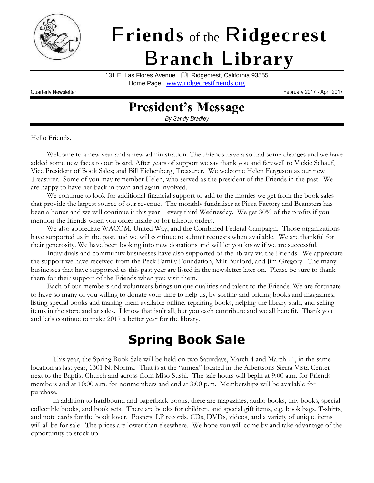

# F**riends** of the R**idgecrest** B**ranch** L**ibrary**

131 E. Las Flores Avenue | 4 Ridgecrest, California 93555

Home Page: [www.ridgecrestfriends.org](http://www.ridgecrestfriends.org/)

Quarterly Newsletter February 2017 - April 2017

### **President's Message**

*By Sandy Bradley*

Hello Friends.

Welcome to a new year and a new administration. The Friends have also had some changes and we have added some new faces to our board. After years of support we say thank you and farewell to Vickie Schauf, Vice President of Book Sales; and Bill Eichenberg, Treasurer. We welcome Helen Ferguson as our new Treasurer. Some of you may remember Helen, who served as the president of the Friends in the past. We are happy to have her back in town and again involved.

We continue to look for additional financial support to add to the monies we get from the book sales that provide the largest source of our revenue. The monthly fundraiser at Pizza Factory and Beansters has been a bonus and we will continue it this year – every third Wednesday. We get 30% of the profits if you mention the friends when you order inside or for takeout orders.

We also appreciate WACOM, United Way, and the Combined Federal Campaign. Those organizations have supported us in the past, and we will continue to submit requests when available. We are thankful for their generosity. We have been looking into new donations and will let you know if we are successful.

Individuals and community businesses have also supported of the library via the Friends. We appreciate the support we have received from the Peck Family Foundation, Milt Burford, and Jim Gregory. The many businesses that have supported us this past year are listed in the newsletter later on. Please be sure to thank them for their support of the Friends when you visit them.

Each of our members and volunteers brings unique qualities and talent to the Friends. We are fortunate to have so many of you willing to donate your time to help us, by sorting and pricing books and magazines, listing special books and making them available online, repairing books, helping the library staff, and selling items in the store and at sales. I know that isn't all, but you each contribute and we all benefit. Thank you and let's continue to make 2017 a better year for the library.

## **Spring Book Sale**

This year, the Spring Book Sale will be held on two Saturdays, March 4 and March 11, in the same location as last year, 1301 N. Norma. That is at the "annex" located in the Albertsons Sierra Vista Center next to the Baptist Church and across from Miso Sushi. The sale hours will begin at 9:00 a.m. for Friends members and at 10:00 a.m. for nonmembers and end at 3:00 p.m. Memberships will be available for purchase.

In addition to hardbound and paperback books, there are magazines, audio books, tiny books, special collectible books, and book sets. There are books for children, and special gift items, e.g. book bags, T-shirts, and note cards for the book lover. Posters, LP records, CDs, DVDs, videos, and a variety of unique items will all be for sale. The prices are lower than elsewhere. We hope you will come by and take advantage of the opportunity to stock up.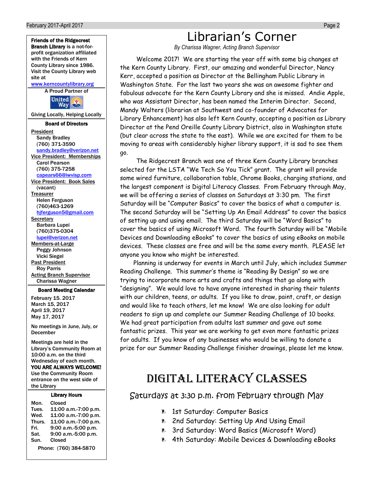

| Mon.   | Closed                |
|--------|-----------------------|
| Tues.  | 11:00 a.m.-7:00 p.m   |
| Wed.   | 11:00 a.m.-7:00 p.m   |
| Thurs. | 11:00 a.m.-7:00 p.m   |
| Fri.   | 9:00 a.m.-5:00 p.m.   |
| Sat.   | 9:00 a.m.-5:00 p.m.   |
| Sun.   | Closed                |
|        | Phone: (760) 384-5870 |

### Librarian's Corner

*By Charissa Wagner, Acting Branch Supervisor*

Welcome 2017! We are starting the year off with some big changes at the Kern County Library. First, our amazing and wonderful Director, Nancy Kerr, accepted a position as Director at the Bellingham Public Library in Washington State. For the last two years she was an awesome fighter and fabulous advocate for the Kern County Library and she is missed. Andie Apple, who was Assistant Director, has been named the Interim Director. Second, Mandy Walters (librarian at Southwest and co-founder of Advocates for Library Enhancement) has also left Kern County, accepting a position as Library Director at the Pend Oreille County Library District, also in Washington state (but clear across the state to the east). While we are excited for them to be moving to areas with considerably higher library support, it is sad to see them go.

The Ridgecrest Branch was one of three Kern County Library branches selected for the LSTA "We Tech So You Tick" grant. The grant will provide some wired furniture, collaboration table, Chrome Books, charging stations, and the largest component is Digital Literacy Classes. From February through May, we will be offering a series of classes on Saturdays at 3:30 pm. The first Saturday will be "Computer Basics" to cover the basics of what a computer is. The second Saturday will be "Setting Up An Email Address" to cover the basics of setting up and using email. The third Saturday will be "Word Basics" to cover the basics of using Microsoft Word. The fourth Saturday will be "Mobile Devices and Downloading eBooks" to cover the basics of using eBooks on mobile devices. These classes are free and will be the same every month. PLEASE let anyone you know who might be interested.

Planning is underway for events in March until July, which includes Summer Reading Challenge. This summer's theme is "Reading By Design" so we are trying to incorporate more arts and crafts and things that go along with "designing". We would love to have anyone interested in sharing their talents with our children, teens, or adults. If you like to draw, paint, craft, or design and would like to teach others, let me know! We are also looking for adult readers to sign up and complete our Summer Reading Challenge of 10 books. We had great participation from adults last summer and gave out some fantastic prizes. This year we are working to get even more fantastic prizes for adults. If you know of any businesses who would be willing to donate a prize for our Summer Reading Challenge finisher drawings, please let me know.

#### DIGITAL LITERACY CLASSES

Saturdays at 3:30 p.m. from February through May

- **1st Saturday: Computer Basics**
- 2nd Saturday: Setting Up And Using Email
- 3rd Saturday: Word Basics (Microsoft Word)
- **4th Saturday: Mobile Devices & Downloading eBooks**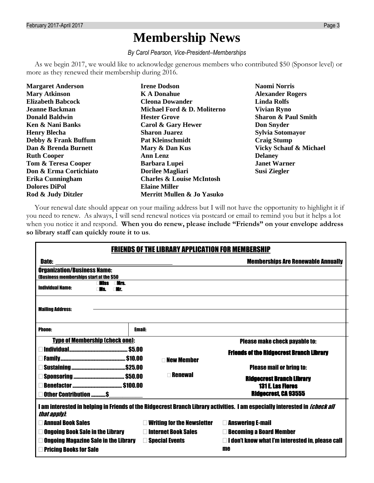## **Membership News**

*By Carol Pearson, Vice-President–Memberships*

As we begin 2017, we would like to acknowledge generous members who contributed \$50 (Sponsor level) or more as they renewed their membership during 2016.

| <b>Margaret Anderson</b> | <b>Irene Dodson</b>                  | <b>Naomi Norris</b>               |
|--------------------------|--------------------------------------|-----------------------------------|
| <b>Mary Atkinson</b>     | <b>K A Donahue</b>                   | <b>Alexander Rogers</b>           |
| <b>Elizabeth Babcock</b> | <b>Cleona Dowander</b>               | <b>Linda Rolfs</b>                |
| <b>Jeanne Backman</b>    | Michael Ford & D. Moliterno          | <b>Vivian Ryno</b>                |
| <b>Donald Baldwin</b>    | <b>Hester Grove</b>                  | <b>Sharon &amp; Paul Smith</b>    |
| Ken & Nani Banks         | Carol & Gary Hewer                   | <b>Don Snyder</b>                 |
| <b>Henry Blecha</b>      | <b>Sharon Juarez</b>                 | Sylvia Sotomayor                  |
| Debby & Frank Buffum     | <b>Pat Kleinschmidt</b>              | <b>Craig Stump</b>                |
| Dan & Brenda Burnett     | Mary & Dan Kus                       | <b>Vicky Schauf &amp; Michael</b> |
| <b>Ruth Cooper</b>       | <b>Ann Lenz</b>                      | <b>Delaney</b>                    |
| Tom & Teresa Cooper      | <b>Barbara Lupei</b>                 | <b>Janet Warner</b>               |
| Don & Erma Cortichiato   | <b>Dorilee Magliari</b>              | Susi Ziegler                      |
| Erika Cunningham         | <b>Charles &amp; Louise McIntosh</b> |                                   |
| <b>Dolores DiPol</b>     | <b>Elaine Miller</b>                 |                                   |
| Rod & Judy Ditzler       | Merritt Mullen & Jo Yasuko           |                                   |
|                          |                                      |                                   |

Your renewal date should appear on your mailing address but I will not have the opportunity to highlight it if you need to renew. As always, I will send renewal notices via postcard or email to remind you but it helps a lot when you notice it and respond. **When you do renew, please include "Friends" on your envelope address so library staff can quickly route it to us**.

| <b>FRIENDS OF THE LIBRARY APPLICATION FOR MEMBERSHIP</b>                                                                                           |                                           |                                                         |  |  |
|----------------------------------------------------------------------------------------------------------------------------------------------------|-------------------------------------------|---------------------------------------------------------|--|--|
| Date:                                                                                                                                              | <b>Memberships Are Renewable Annually</b> |                                                         |  |  |
| <b>Organization/Business Name:</b><br>(Business memberships start at the \$50                                                                      |                                           |                                                         |  |  |
| illee<br>∏ rs<br><b>Individual Name:</b>                                                                                                           |                                           |                                                         |  |  |
| <b>Mailing Address:</b>                                                                                                                            |                                           |                                                         |  |  |
|                                                                                                                                                    |                                           |                                                         |  |  |
| <b>Phone:</b>                                                                                                                                      | <b>Email:</b>                             |                                                         |  |  |
| <b>Type of Membership (check one):</b><br><b>Please make check payable to:</b>                                                                     |                                           |                                                         |  |  |
|                                                                                                                                                    |                                           | <b>Friends of the Ridgecrest Branch Library</b>         |  |  |
| <b>New Member</b>                                                                                                                                  |                                           |                                                         |  |  |
|                                                                                                                                                    |                                           | <b>Please mail or bring to:</b>                         |  |  |
| <b>Renewal</b>                                                                                                                                     |                                           | <b>Ridgecrest Branch Library</b>                        |  |  |
| <b>131 E. Las Flores</b>                                                                                                                           |                                           |                                                         |  |  |
| <b>Ridgecrest, CA 93555</b><br>Other Contribution  \$                                                                                              |                                           |                                                         |  |  |
| I am interested in helping in Friends of the Ridgecrest Branch Library activities. I am especially interested in <i>[check all</i><br>that apply). |                                           |                                                         |  |  |
| <b>Annual Book Sales</b>                                                                                                                           | <b>Writing for the Newsletter</b>         | <b>Answering E-mail</b>                                 |  |  |
| <b>Ongoing Book Sale in the Library</b>                                                                                                            | <b>□ Internet Book Sales</b>              | <b>Becoming a Board Member</b>                          |  |  |
| <b>Ongoing Magazine Sale in the Library</b>                                                                                                        | $\square$ Special Events                  | $\Box$ I don't know what I'm interested in, please call |  |  |
| <b>Pricing Books for Sale</b>                                                                                                                      |                                           | me                                                      |  |  |